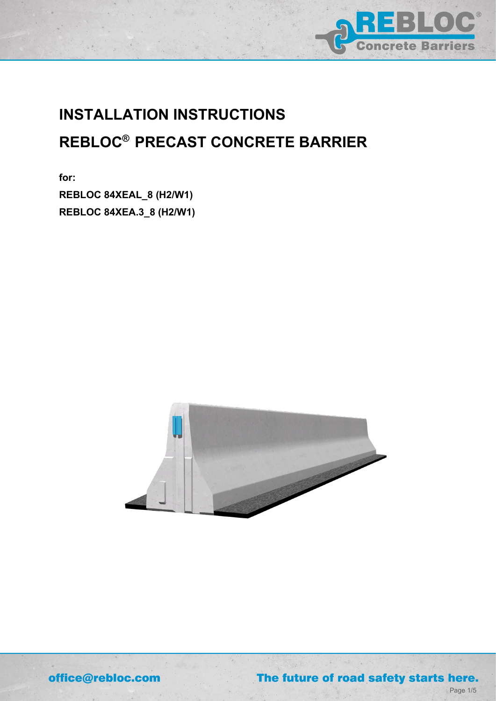

# **INSTALLATION INSTRUCTIONS REBLOC® PRECAST CONCRETE BARRIER**

**for: REBLOC 84XEAL\_8 (H2/W1) REBLOC 84XEA.3\_8 (H2/W1)**



 $\mathcal{A}$ 

office@rebloc.com

The future of road safety starts here.

Page 1/5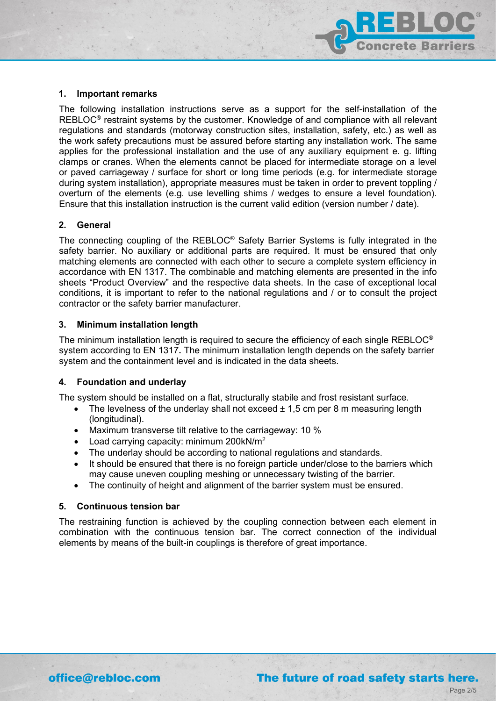

#### **1. Important remarks**

The following installation instructions serve as a support for the self-installation of the REBLOC<sup>®</sup> restraint systems by the customer. Knowledge of and compliance with all relevant regulations and standards (motorway construction sites, installation, safety, etc.) as well as the work safety precautions must be assured before starting any installation work. The same applies for the professional installation and the use of any auxiliary equipment e. g. lifting clamps or cranes. When the elements cannot be placed for intermediate storage on a level or paved carriageway / surface for short or long time periods (e.g. for intermediate storage during system installation), appropriate measures must be taken in order to prevent toppling / overturn of the elements (e.g. use levelling shims / wedges to ensure a level foundation). Ensure that this installation instruction is the current valid edition (version number / date).

#### **2. General**

The connecting coupling of the REBLOC® Safety Barrier Systems is fully integrated in the safety barrier. No auxiliary or additional parts are required. It must be ensured that only matching elements are connected with each other to secure a complete system efficiency in accordance with EN 1317. The combinable and matching elements are presented in the info sheets "Product Overview" and the respective data sheets. In the case of exceptional local conditions, it is important to refer to the national regulations and / or to consult the project contractor or the safety barrier manufacturer.

#### **3. Minimum installation length**

The minimum installation length is required to secure the efficiency of each single REBLOC® system according to EN 1317**.** The minimum installation length depends on the safety barrier system and the containment level and is indicated in the data sheets.

#### **4. Foundation and underlay**

The system should be installed on a flat, structurally stabile and frost resistant surface.

- The levelness of the underlay shall not exceed  $\pm$  1,5 cm per 8 m measuring length (longitudinal).
- Maximum transverse tilt relative to the carriageway: 10 %
- Load carrying capacity: minimum 200 $kN/m^2$
- The underlay should be according to national regulations and standards.
- It should be ensured that there is no foreign particle under/close to the barriers which may cause uneven coupling meshing or unnecessary twisting of the barrier.
- The continuity of height and alignment of the barrier system must be ensured.

#### **5. Continuous tension bar**

The restraining function is achieved by the coupling connection between each element in combination with the continuous tension bar. The correct connection of the individual elements by means of the built-in couplings is therefore of great importance.

Page 2/5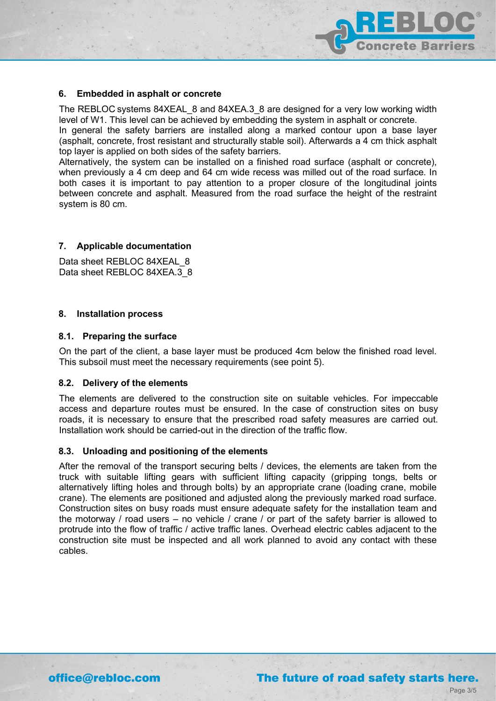

#### **6. Embedded in asphalt or concrete**

The REBLOC systems 84XEAL\_8 and 84XEA.3\_8 are designed for a very low working width level of W1. This level can be achieved by embedding the system in asphalt or concrete.

In general the safety barriers are installed along a marked contour upon a base layer (asphalt, concrete, frost resistant and structurally stable soil). Afterwards a 4 cm thick asphalt top layer is applied on both sides of the safety barriers.

Alternatively, the system can be installed on a finished road surface (asphalt or concrete), when previously a 4 cm deep and 64 cm wide recess was milled out of the road surface. In both cases it is important to pay attention to a proper closure of the longitudinal joints between concrete and asphalt. Measured from the road surface the height of the restraint system is 80 cm.

#### **7. Applicable documentation**

Data sheet REBLOC 84XEAL 8 Data sheet REBLOC 84XEA.3\_8

#### **8. Installation process**

#### **8.1. Preparing the surface**

On the part of the client, a base layer must be produced 4cm below the finished road level. This subsoil must meet the necessary requirements (see point 5).

#### **8.2. Delivery of the elements**

The elements are delivered to the construction site on suitable vehicles. For impeccable access and departure routes must be ensured. In the case of construction sites on busy roads, it is necessary to ensure that the prescribed road safety measures are carried out. Installation work should be carried-out in the direction of the traffic flow.

#### **8.3. Unloading and positioning of the elements**

After the removal of the transport securing belts / devices, the elements are taken from the truck with suitable lifting gears with sufficient lifting capacity (gripping tongs, belts or alternatively lifting holes and through bolts) by an appropriate crane (loading crane, mobile crane). The elements are positioned and adjusted along the previously marked road surface. Construction sites on busy roads must ensure adequate safety for the installation team and the motorway / road users – no vehicle / crane / or part of the safety barrier is allowed to protrude into the flow of traffic / active traffic lanes. Overhead electric cables adjacent to the construction site must be inspected and all work planned to avoid any contact with these cables.

## The future of road safety starts here.

Page 3/5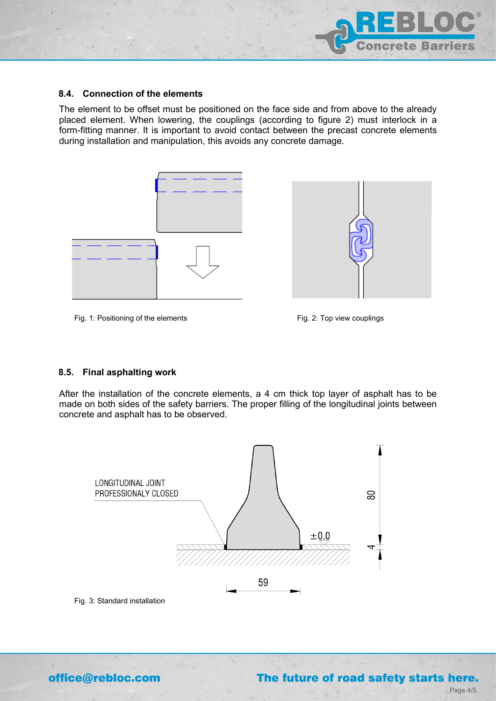

#### **8.4. Connection of the elements**

The element to be offset must be positioned on the face side and from above to the already placed element. When lowering, the couplings (according to figure 2) must interlock in a form-fitting manner. It is important to avoid contact between the precast concrete elements during installation and manipulation, this avoids any concrete damage.





#### Fig. 1: Positioning of the elements

Fig. 2: Top view couplings

#### **8.5. Final asphalting work**

After the installation of the concrete elements, a 4 cm thick top layer of asphalt has to be made on both sides of the safety barriers. The proper filling of the longitudinal joints between concrete and asphalt has to be observed.



 $\epsilon$ 

Fig. 3: Standard installation

office@rebloc.com